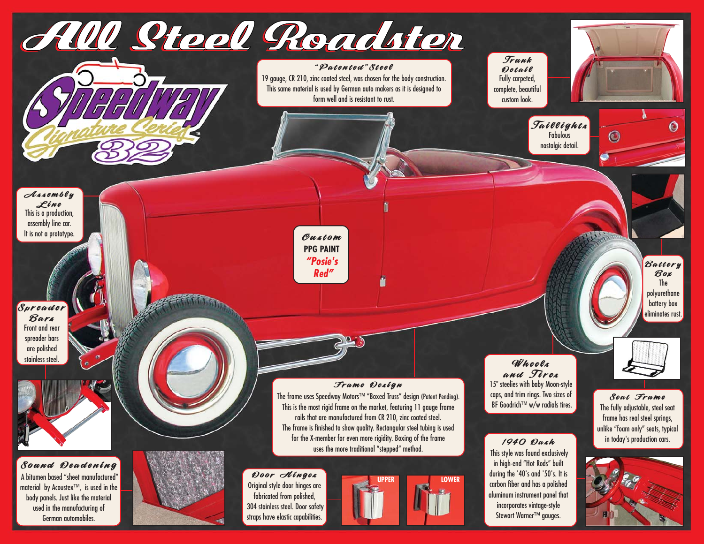